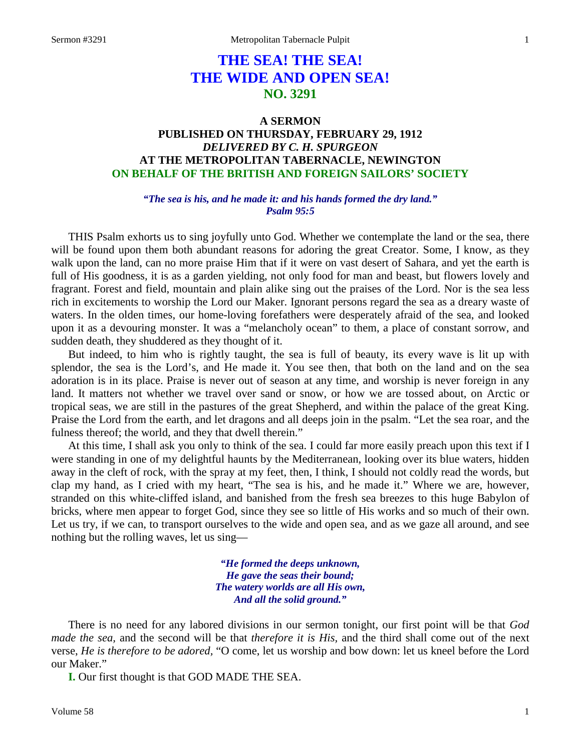# **THE SEA! THE SEA! THE WIDE AND OPEN SEA! NO. 3291**

## **A SERMON PUBLISHED ON THURSDAY, FEBRUARY 29, 1912** *DELIVERED BY C. H. SPURGEON* **AT THE METROPOLITAN TABERNACLE, NEWINGTON ON BEHALF OF THE BRITISH AND FOREIGN SAILORS' SOCIETY**

### *"The sea is his, and he made it: and his hands formed the dry land." Psalm 95:5*

THIS Psalm exhorts us to sing joyfully unto God. Whether we contemplate the land or the sea, there will be found upon them both abundant reasons for adoring the great Creator. Some, I know, as they walk upon the land, can no more praise Him that if it were on vast desert of Sahara, and yet the earth is full of His goodness, it is as a garden yielding, not only food for man and beast, but flowers lovely and fragrant. Forest and field, mountain and plain alike sing out the praises of the Lord. Nor is the sea less rich in excitements to worship the Lord our Maker. Ignorant persons regard the sea as a dreary waste of waters. In the olden times, our home-loving forefathers were desperately afraid of the sea, and looked upon it as a devouring monster. It was a "melancholy ocean" to them, a place of constant sorrow, and sudden death, they shuddered as they thought of it.

But indeed, to him who is rightly taught, the sea is full of beauty, its every wave is lit up with splendor, the sea is the Lord's, and He made it. You see then, that both on the land and on the sea adoration is in its place. Praise is never out of season at any time, and worship is never foreign in any land. It matters not whether we travel over sand or snow, or how we are tossed about, on Arctic or tropical seas, we are still in the pastures of the great Shepherd, and within the palace of the great King. Praise the Lord from the earth, and let dragons and all deeps join in the psalm. "Let the sea roar, and the fulness thereof; the world, and they that dwell therein."

At this time, I shall ask you only to think of the sea. I could far more easily preach upon this text if I were standing in one of my delightful haunts by the Mediterranean, looking over its blue waters, hidden away in the cleft of rock, with the spray at my feet, then, I think, I should not coldly read the words, but clap my hand, as I cried with my heart, "The sea is his, and he made it." Where we are, however, stranded on this white-cliffed island, and banished from the fresh sea breezes to this huge Babylon of bricks, where men appear to forget God, since they see so little of His works and so much of their own. Let us try, if we can, to transport ourselves to the wide and open sea, and as we gaze all around, and see nothing but the rolling waves, let us sing—

> *"He formed the deeps unknown, He gave the seas their bound; The watery worlds are all His own, And all the solid ground."*

There is no need for any labored divisions in our sermon tonight, our first point will be that *God made the sea,* and the second will be that *therefore it is His,* and the third shall come out of the next verse, *He is therefore to be adored,* "O come, let us worship and bow down: let us kneel before the Lord our Maker."

**I.** Our first thought is that GOD MADE THE SEA.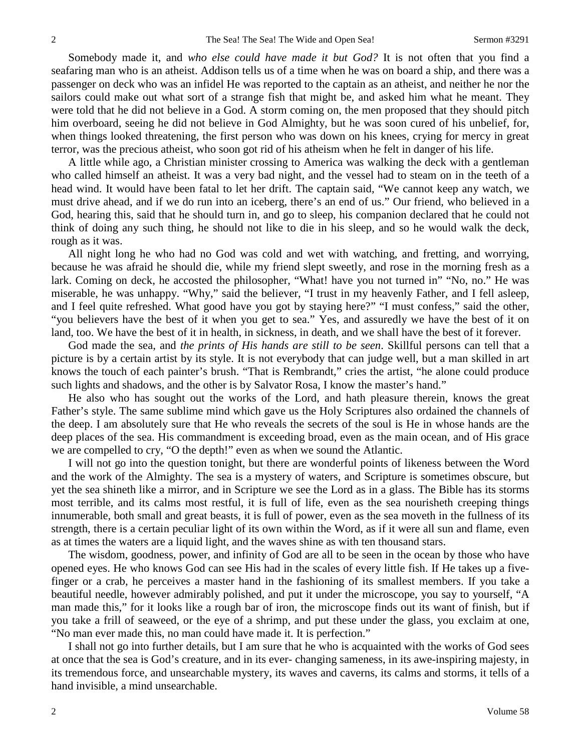Somebody made it, and *who else could have made it but God?* It is not often that you find a seafaring man who is an atheist. Addison tells us of a time when he was on board a ship, and there was a passenger on deck who was an infidel He was reported to the captain as an atheist, and neither he nor the sailors could make out what sort of a strange fish that might be, and asked him what he meant. They were told that he did not believe in a God. A storm coming on, the men proposed that they should pitch him overboard, seeing he did not believe in God Almighty, but he was soon cured of his unbelief, for, when things looked threatening, the first person who was down on his knees, crying for mercy in great terror, was the precious atheist, who soon got rid of his atheism when he felt in danger of his life.

A little while ago, a Christian minister crossing to America was walking the deck with a gentleman who called himself an atheist. It was a very bad night, and the vessel had to steam on in the teeth of a head wind. It would have been fatal to let her drift. The captain said, "We cannot keep any watch, we must drive ahead, and if we do run into an iceberg, there's an end of us." Our friend, who believed in a God, hearing this, said that he should turn in, and go to sleep, his companion declared that he could not think of doing any such thing, he should not like to die in his sleep, and so he would walk the deck, rough as it was.

All night long he who had no God was cold and wet with watching, and fretting, and worrying, because he was afraid he should die, while my friend slept sweetly, and rose in the morning fresh as a lark. Coming on deck, he accosted the philosopher, "What! have you not turned in" "No, no." He was miserable, he was unhappy. "Why," said the believer, "I trust in my heavenly Father, and I fell asleep, and I feel quite refreshed. What good have you got by staying here?" "I must confess," said the other, "you believers have the best of it when you get to sea." Yes, and assuredly we have the best of it on land, too. We have the best of it in health, in sickness, in death, and we shall have the best of it forever.

God made the sea, and *the prints of His hands are still to be seen*. Skillful persons can tell that a picture is by a certain artist by its style. It is not everybody that can judge well, but a man skilled in art knows the touch of each painter's brush. "That is Rembrandt," cries the artist, "he alone could produce such lights and shadows, and the other is by Salvator Rosa, I know the master's hand."

He also who has sought out the works of the Lord, and hath pleasure therein, knows the great Father's style. The same sublime mind which gave us the Holy Scriptures also ordained the channels of the deep. I am absolutely sure that He who reveals the secrets of the soul is He in whose hands are the deep places of the sea. His commandment is exceeding broad, even as the main ocean, and of His grace we are compelled to cry, "O the depth!" even as when we sound the Atlantic.

I will not go into the question tonight, but there are wonderful points of likeness between the Word and the work of the Almighty. The sea is a mystery of waters, and Scripture is sometimes obscure, but yet the sea shineth like a mirror, and in Scripture we see the Lord as in a glass. The Bible has its storms most terrible, and its calms most restful, it is full of life, even as the sea nourisheth creeping things innumerable, both small and great beasts, it is full of power, even as the sea moveth in the fullness of its strength, there is a certain peculiar light of its own within the Word, as if it were all sun and flame, even as at times the waters are a liquid light, and the waves shine as with ten thousand stars.

The wisdom, goodness, power, and infinity of God are all to be seen in the ocean by those who have opened eyes. He who knows God can see His had in the scales of every little fish. If He takes up a fivefinger or a crab, he perceives a master hand in the fashioning of its smallest members. If you take a beautiful needle, however admirably polished, and put it under the microscope, you say to yourself, "A man made this," for it looks like a rough bar of iron, the microscope finds out its want of finish, but if you take a frill of seaweed, or the eye of a shrimp, and put these under the glass, you exclaim at one, "No man ever made this, no man could have made it. It is perfection."

I shall not go into further details, but I am sure that he who is acquainted with the works of God sees at once that the sea is God's creature, and in its ever- changing sameness, in its awe-inspiring majesty, in its tremendous force, and unsearchable mystery, its waves and caverns, its calms and storms, it tells of a hand invisible, a mind unsearchable.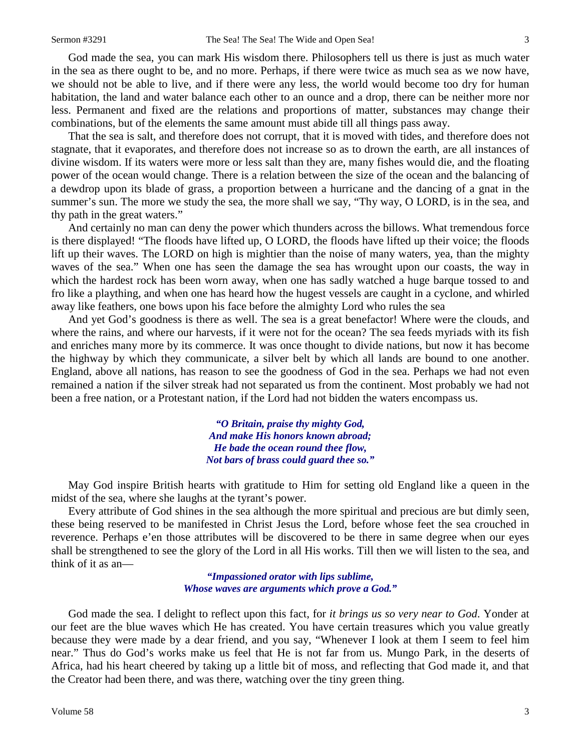God made the sea, you can mark His wisdom there. Philosophers tell us there is just as much water in the sea as there ought to be, and no more. Perhaps, if there were twice as much sea as we now have, we should not be able to live, and if there were any less, the world would become too dry for human habitation, the land and water balance each other to an ounce and a drop, there can be neither more nor less. Permanent and fixed are the relations and proportions of matter, substances may change their combinations, but of the elements the same amount must abide till all things pass away.

That the sea is salt, and therefore does not corrupt, that it is moved with tides, and therefore does not stagnate, that it evaporates, and therefore does not increase so as to drown the earth, are all instances of divine wisdom. If its waters were more or less salt than they are, many fishes would die, and the floating power of the ocean would change. There is a relation between the size of the ocean and the balancing of a dewdrop upon its blade of grass, a proportion between a hurricane and the dancing of a gnat in the summer's sun. The more we study the sea, the more shall we say, "Thy way, O LORD, is in the sea, and thy path in the great waters."

And certainly no man can deny the power which thunders across the billows. What tremendous force is there displayed! "The floods have lifted up, O LORD, the floods have lifted up their voice; the floods lift up their waves. The LORD on high is mightier than the noise of many waters, yea, than the mighty waves of the sea." When one has seen the damage the sea has wrought upon our coasts, the way in which the hardest rock has been worn away, when one has sadly watched a huge barque tossed to and fro like a plaything, and when one has heard how the hugest vessels are caught in a cyclone, and whirled away like feathers, one bows upon his face before the almighty Lord who rules the sea

And yet God's goodness is there as well. The sea is a great benefactor! Where were the clouds, and where the rains, and where our harvests, if it were not for the ocean? The sea feeds myriads with its fish and enriches many more by its commerce. It was once thought to divide nations, but now it has become the highway by which they communicate, a silver belt by which all lands are bound to one another. England, above all nations, has reason to see the goodness of God in the sea. Perhaps we had not even remained a nation if the silver streak had not separated us from the continent. Most probably we had not been a free nation, or a Protestant nation, if the Lord had not bidden the waters encompass us.

> *"O Britain, praise thy mighty God, And make His honors known abroad; He bade the ocean round thee flow, Not bars of brass could guard thee so."*

May God inspire British hearts with gratitude to Him for setting old England like a queen in the midst of the sea, where she laughs at the tyrant's power.

Every attribute of God shines in the sea although the more spiritual and precious are but dimly seen, these being reserved to be manifested in Christ Jesus the Lord, before whose feet the sea crouched in reverence. Perhaps e'en those attributes will be discovered to be there in same degree when our eyes shall be strengthened to see the glory of the Lord in all His works. Till then we will listen to the sea, and think of it as an—

> *"Impassioned orator with lips sublime, Whose waves are arguments which prove a God."*

God made the sea. I delight to reflect upon this fact, for *it brings us so very near to God*. Yonder at our feet are the blue waves which He has created. You have certain treasures which you value greatly because they were made by a dear friend, and you say, "Whenever I look at them I seem to feel him near." Thus do God's works make us feel that He is not far from us. Mungo Park, in the deserts of Africa, had his heart cheered by taking up a little bit of moss, and reflecting that God made it, and that the Creator had been there, and was there, watching over the tiny green thing.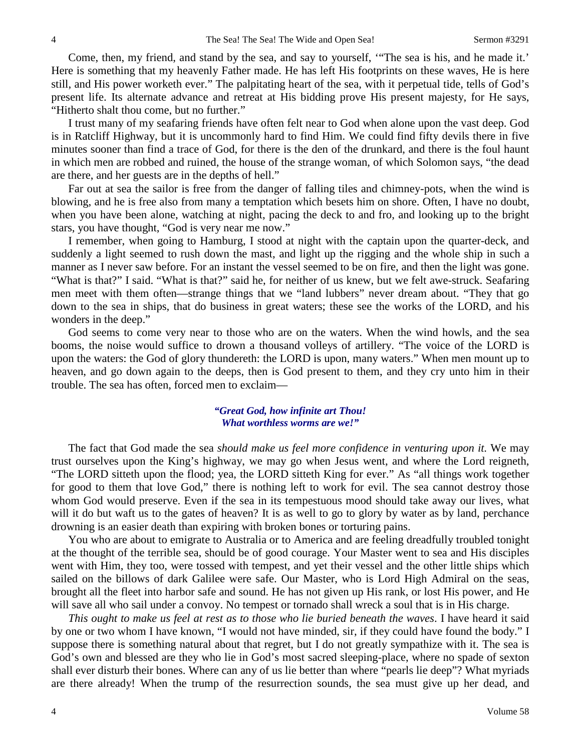Come, then, my friend, and stand by the sea, and say to yourself, '"The sea is his, and he made it.' Here is something that my heavenly Father made. He has left His footprints on these waves, He is here still, and His power worketh ever." The palpitating heart of the sea, with it perpetual tide, tells of God's present life. Its alternate advance and retreat at His bidding prove His present majesty, for He says, "Hitherto shalt thou come, but no further."

I trust many of my seafaring friends have often felt near to God when alone upon the vast deep. God is in Ratcliff Highway, but it is uncommonly hard to find Him. We could find fifty devils there in five minutes sooner than find a trace of God, for there is the den of the drunkard, and there is the foul haunt in which men are robbed and ruined, the house of the strange woman, of which Solomon says, "the dead are there, and her guests are in the depths of hell."

Far out at sea the sailor is free from the danger of falling tiles and chimney-pots, when the wind is blowing, and he is free also from many a temptation which besets him on shore. Often, I have no doubt, when you have been alone, watching at night, pacing the deck to and fro, and looking up to the bright stars, you have thought, "God is very near me now."

I remember, when going to Hamburg, I stood at night with the captain upon the quarter-deck, and suddenly a light seemed to rush down the mast, and light up the rigging and the whole ship in such a manner as I never saw before. For an instant the vessel seemed to be on fire, and then the light was gone. "What is that?" I said. "What is that?" said he, for neither of us knew, but we felt awe-struck. Seafaring men meet with them often—strange things that we "land lubbers" never dream about. "They that go down to the sea in ships, that do business in great waters; these see the works of the LORD, and his wonders in the deep."

God seems to come very near to those who are on the waters. When the wind howls, and the sea booms, the noise would suffice to drown a thousand volleys of artillery. "The voice of the LORD is upon the waters: the God of glory thundereth: the LORD is upon, many waters." When men mount up to heaven, and go down again to the deeps, then is God present to them, and they cry unto him in their trouble. The sea has often, forced men to exclaim—

### *"Great God, how infinite art Thou! What worthless worms are we!"*

The fact that God made the sea *should make us feel more confidence in venturing upon it.* We may trust ourselves upon the King's highway, we may go when Jesus went, and where the Lord reigneth, "The LORD sitteth upon the flood; yea, the LORD sitteth King for ever." As "all things work together for good to them that love God," there is nothing left to work for evil. The sea cannot destroy those whom God would preserve. Even if the sea in its tempestuous mood should take away our lives, what will it do but waft us to the gates of heaven? It is as well to go to glory by water as by land, perchance drowning is an easier death than expiring with broken bones or torturing pains.

You who are about to emigrate to Australia or to America and are feeling dreadfully troubled tonight at the thought of the terrible sea, should be of good courage. Your Master went to sea and His disciples went with Him, they too, were tossed with tempest, and yet their vessel and the other little ships which sailed on the billows of dark Galilee were safe. Our Master, who is Lord High Admiral on the seas, brought all the fleet into harbor safe and sound. He has not given up His rank, or lost His power, and He will save all who sail under a convoy. No tempest or tornado shall wreck a soul that is in His charge.

*This ought to make us feel at rest as to those who lie buried beneath the waves*. I have heard it said by one or two whom I have known, "I would not have minded, sir, if they could have found the body." I suppose there is something natural about that regret, but I do not greatly sympathize with it. The sea is God's own and blessed are they who lie in God's most sacred sleeping-place, where no spade of sexton shall ever disturb their bones. Where can any of us lie better than where "pearls lie deep"? What myriads are there already! When the trump of the resurrection sounds, the sea must give up her dead, and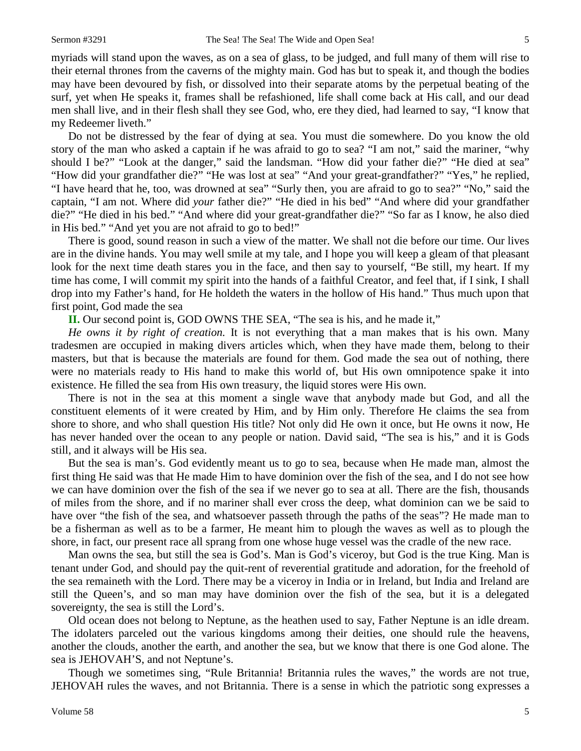myriads will stand upon the waves, as on a sea of glass, to be judged, and full many of them will rise to their eternal thrones from the caverns of the mighty main. God has but to speak it, and though the bodies may have been devoured by fish, or dissolved into their separate atoms by the perpetual beating of the surf, yet when He speaks it, frames shall be refashioned, life shall come back at His call, and our dead men shall live, and in their flesh shall they see God, who, ere they died, had learned to say, "I know that my Redeemer liveth."

Do not be distressed by the fear of dying at sea. You must die somewhere. Do you know the old story of the man who asked a captain if he was afraid to go to sea? "I am not," said the mariner, "why should I be?" "Look at the danger," said the landsman. "How did your father die?" "He died at sea" "How did your grandfather die?" "He was lost at sea" "And your great-grandfather?" "Yes," he replied, "I have heard that he, too, was drowned at sea" "Surly then, you are afraid to go to sea?" "No," said the captain, "I am not. Where did *your* father die?" "He died in his bed" "And where did your grandfather die?" "He died in his bed." "And where did your great-grandfather die?" "So far as I know, he also died in His bed." "And yet you are not afraid to go to bed!"

There is good, sound reason in such a view of the matter. We shall not die before our time. Our lives are in the divine hands. You may well smile at my tale, and I hope you will keep a gleam of that pleasant look for the next time death stares you in the face, and then say to yourself, "Be still, my heart. If my time has come, I will commit my spirit into the hands of a faithful Creator, and feel that, if I sink, I shall drop into my Father's hand, for He holdeth the waters in the hollow of His hand." Thus much upon that first point, God made the sea

**II.** Our second point is, GOD OWNS THE SEA, "The sea is his, and he made it,"

*He owns it by right of creation.* It is not everything that a man makes that is his own. Many tradesmen are occupied in making divers articles which, when they have made them, belong to their masters, but that is because the materials are found for them. God made the sea out of nothing, there were no materials ready to His hand to make this world of, but His own omnipotence spake it into existence. He filled the sea from His own treasury, the liquid stores were His own.

There is not in the sea at this moment a single wave that anybody made but God, and all the constituent elements of it were created by Him, and by Him only. Therefore He claims the sea from shore to shore, and who shall question His title? Not only did He own it once, but He owns it now, He has never handed over the ocean to any people or nation. David said, "The sea is his," and it is Gods still, and it always will be His sea.

But the sea is man's. God evidently meant us to go to sea, because when He made man, almost the first thing He said was that He made Him to have dominion over the fish of the sea, and I do not see how we can have dominion over the fish of the sea if we never go to sea at all. There are the fish, thousands of miles from the shore, and if no mariner shall ever cross the deep, what dominion can we be said to have over "the fish of the sea, and whatsoever passeth through the paths of the seas"? He made man to be a fisherman as well as to be a farmer, He meant him to plough the waves as well as to plough the shore, in fact, our present race all sprang from one whose huge vessel was the cradle of the new race.

Man owns the sea, but still the sea is God's. Man is God's viceroy, but God is the true King. Man is tenant under God, and should pay the quit-rent of reverential gratitude and adoration, for the freehold of the sea remaineth with the Lord. There may be a viceroy in India or in Ireland, but India and Ireland are still the Queen's, and so man may have dominion over the fish of the sea, but it is a delegated sovereignty, the sea is still the Lord's.

Old ocean does not belong to Neptune, as the heathen used to say, Father Neptune is an idle dream. The idolaters parceled out the various kingdoms among their deities, one should rule the heavens, another the clouds, another the earth, and another the sea, but we know that there is one God alone. The sea is JEHOVAH'S, and not Neptune's.

Though we sometimes sing, "Rule Britannia! Britannia rules the waves," the words are not true, JEHOVAH rules the waves, and not Britannia. There is a sense in which the patriotic song expresses a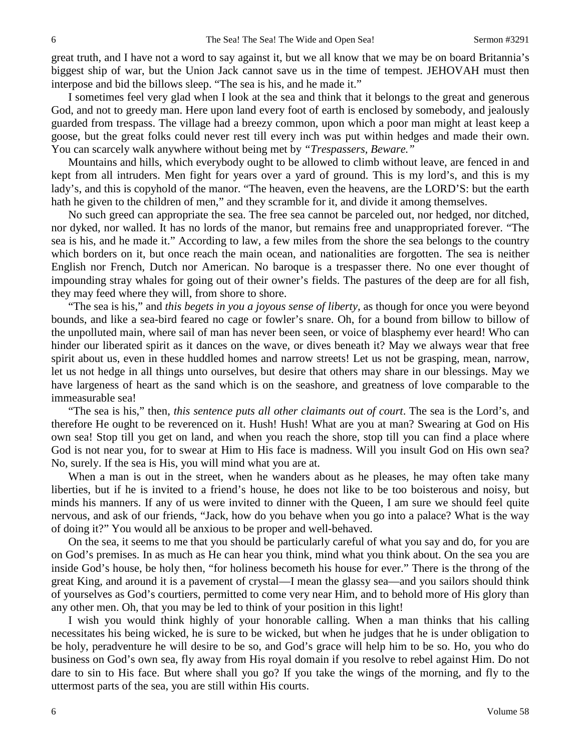great truth, and I have not a word to say against it, but we all know that we may be on board Britannia's biggest ship of war, but the Union Jack cannot save us in the time of tempest. JEHOVAH must then interpose and bid the billows sleep. "The sea is his, and he made it."

I sometimes feel very glad when I look at the sea and think that it belongs to the great and generous God, and not to greedy man. Here upon land every foot of earth is enclosed by somebody, and jealously guarded from trespass. The village had a breezy common, upon which a poor man might at least keep a goose, but the great folks could never rest till every inch was put within hedges and made their own. You can scarcely walk anywhere without being met by *"Trespassers, Beware."*

Mountains and hills, which everybody ought to be allowed to climb without leave, are fenced in and kept from all intruders. Men fight for years over a yard of ground. This is my lord's, and this is my lady's, and this is copyhold of the manor. "The heaven, even the heavens, are the LORD'S: but the earth hath he given to the children of men," and they scramble for it, and divide it among themselves.

No such greed can appropriate the sea. The free sea cannot be parceled out, nor hedged, nor ditched, nor dyked, nor walled. It has no lords of the manor, but remains free and unappropriated forever. "The sea is his, and he made it." According to law, a few miles from the shore the sea belongs to the country which borders on it, but once reach the main ocean, and nationalities are forgotten. The sea is neither English nor French, Dutch nor American. No baroque is a trespasser there. No one ever thought of impounding stray whales for going out of their owner's fields. The pastures of the deep are for all fish, they may feed where they will, from shore to shore.

"The sea is his," and *this begets in you a joyous sense of liberty,* as though for once you were beyond bounds, and like a sea-bird feared no cage or fowler's snare. Oh, for a bound from billow to billow of the unpolluted main, where sail of man has never been seen, or voice of blasphemy ever heard! Who can hinder our liberated spirit as it dances on the wave, or dives beneath it? May we always wear that free spirit about us, even in these huddled homes and narrow streets! Let us not be grasping, mean, narrow, let us not hedge in all things unto ourselves, but desire that others may share in our blessings. May we have largeness of heart as the sand which is on the seashore, and greatness of love comparable to the immeasurable sea!

"The sea is his," then, *this sentence puts all other claimants out of court*. The sea is the Lord's, and therefore He ought to be reverenced on it. Hush! Hush! What are you at man? Swearing at God on His own sea! Stop till you get on land, and when you reach the shore, stop till you can find a place where God is not near you, for to swear at Him to His face is madness. Will you insult God on His own sea? No, surely. If the sea is His, you will mind what you are at.

When a man is out in the street, when he wanders about as he pleases, he may often take many liberties, but if he is invited to a friend's house, he does not like to be too boisterous and noisy, but minds his manners. If any of us were invited to dinner with the Queen, I am sure we should feel quite nervous, and ask of our friends, "Jack, how do you behave when you go into a palace? What is the way of doing it?" You would all be anxious to be proper and well-behaved.

On the sea, it seems to me that you should be particularly careful of what you say and do, for you are on God's premises. In as much as He can hear you think, mind what you think about. On the sea you are inside God's house, be holy then, "for holiness becometh his house for ever." There is the throng of the great King, and around it is a pavement of crystal—I mean the glassy sea—and you sailors should think of yourselves as God's courtiers, permitted to come very near Him, and to behold more of His glory than any other men. Oh, that you may be led to think of your position in this light!

I wish you would think highly of your honorable calling. When a man thinks that his calling necessitates his being wicked, he is sure to be wicked, but when he judges that he is under obligation to be holy, peradventure he will desire to be so, and God's grace will help him to be so. Ho, you who do business on God's own sea, fly away from His royal domain if you resolve to rebel against Him. Do not dare to sin to His face. But where shall you go? If you take the wings of the morning, and fly to the uttermost parts of the sea, you are still within His courts.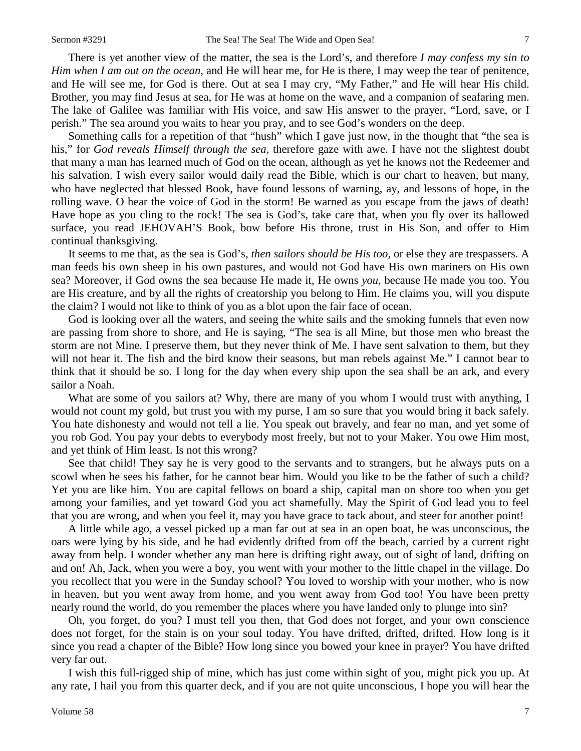There is yet another view of the matter, the sea is the Lord's, and therefore *I may confess my sin to Him when I am out on the ocean,* and He will hear me, for He is there, I may weep the tear of penitence, and He will see me, for God is there. Out at sea I may cry, "My Father," and He will hear His child. Brother, you may find Jesus at sea, for He was at home on the wave, and a companion of seafaring men. The lake of Galilee was familiar with His voice, and saw His answer to the prayer, "Lord, save, or I perish." The sea around you waits to hear you pray, and to see God's wonders on the deep.

Something calls for a repetition of that "hush" which I gave just now, in the thought that "the sea is his," for *God reveals Himself through the sea,* therefore gaze with awe. I have not the slightest doubt that many a man has learned much of God on the ocean, although as yet he knows not the Redeemer and his salvation. I wish every sailor would daily read the Bible, which is our chart to heaven, but many, who have neglected that blessed Book, have found lessons of warning, ay, and lessons of hope, in the rolling wave. O hear the voice of God in the storm! Be warned as you escape from the jaws of death! Have hope as you cling to the rock! The sea is God's, take care that, when you fly over its hallowed surface, you read JEHOVAH'S Book, bow before His throne, trust in His Son, and offer to Him continual thanksgiving.

It seems to me that, as the sea is God's, *then sailors should be His too,* or else they are trespassers. A man feeds his own sheep in his own pastures, and would not God have His own mariners on His own sea? Moreover, if God owns the sea because He made it, He owns *you,* because He made you too. You are His creature, and by all the rights of creatorship you belong to Him. He claims you, will you dispute the claim? I would not like to think of you as a blot upon the fair face of ocean.

God is looking over all the waters, and seeing the white sails and the smoking funnels that even now are passing from shore to shore, and He is saying, "The sea is all Mine, but those men who breast the storm are not Mine. I preserve them, but they never think of Me. I have sent salvation to them, but they will not hear it. The fish and the bird know their seasons, but man rebels against Me." I cannot bear to think that it should be so. I long for the day when every ship upon the sea shall be an ark, and every sailor a Noah.

What are some of you sailors at? Why, there are many of you whom I would trust with anything, I would not count my gold, but trust you with my purse, I am so sure that you would bring it back safely. You hate dishonesty and would not tell a lie. You speak out bravely, and fear no man, and yet some of you rob God. You pay your debts to everybody most freely, but not to your Maker. You owe Him most, and yet think of Him least. Is not this wrong?

See that child! They say he is very good to the servants and to strangers, but he always puts on a scowl when he sees his father, for he cannot bear him. Would you like to be the father of such a child? Yet you are like him. You are capital fellows on board a ship, capital man on shore too when you get among your families, and yet toward God you act shamefully. May the Spirit of God lead you to feel that you are wrong, and when you feel it, may you have grace to tack about, and steer for another point!

A little while ago, a vessel picked up a man far out at sea in an open boat, he was unconscious, the oars were lying by his side, and he had evidently drifted from off the beach, carried by a current right away from help. I wonder whether any man here is drifting right away, out of sight of land, drifting on and on! Ah, Jack, when you were a boy, you went with your mother to the little chapel in the village. Do you recollect that you were in the Sunday school? You loved to worship with your mother, who is now in heaven, but you went away from home, and you went away from God too! You have been pretty nearly round the world, do you remember the places where you have landed only to plunge into sin?

Oh, you forget, do you? I must tell you then, that God does not forget, and your own conscience does not forget, for the stain is on your soul today. You have drifted, drifted, drifted. How long is it since you read a chapter of the Bible? How long since you bowed your knee in prayer? You have drifted very far out.

I wish this full-rigged ship of mine, which has just come within sight of you, might pick you up. At any rate, I hail you from this quarter deck, and if you are not quite unconscious, I hope you will hear the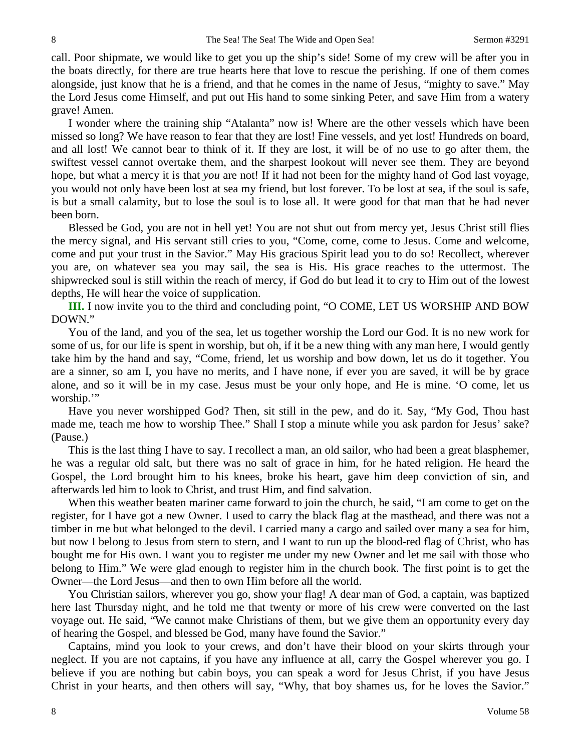call. Poor shipmate, we would like to get you up the ship's side! Some of my crew will be after you in the boats directly, for there are true hearts here that love to rescue the perishing. If one of them comes alongside, just know that he is a friend, and that he comes in the name of Jesus, "mighty to save." May the Lord Jesus come Himself, and put out His hand to some sinking Peter, and save Him from a watery grave! Amen.

I wonder where the training ship "Atalanta" now is! Where are the other vessels which have been missed so long? We have reason to fear that they are lost! Fine vessels, and yet lost! Hundreds on board, and all lost! We cannot bear to think of it. If they are lost, it will be of no use to go after them, the swiftest vessel cannot overtake them, and the sharpest lookout will never see them. They are beyond hope, but what a mercy it is that *you* are not! If it had not been for the mighty hand of God last voyage, you would not only have been lost at sea my friend, but lost forever. To be lost at sea, if the soul is safe, is but a small calamity, but to lose the soul is to lose all. It were good for that man that he had never been born.

Blessed be God, you are not in hell yet! You are not shut out from mercy yet, Jesus Christ still flies the mercy signal, and His servant still cries to you, "Come, come, come to Jesus. Come and welcome, come and put your trust in the Savior." May His gracious Spirit lead you to do so! Recollect, wherever you are, on whatever sea you may sail, the sea is His. His grace reaches to the uttermost. The shipwrecked soul is still within the reach of mercy, if God do but lead it to cry to Him out of the lowest depths, He will hear the voice of supplication.

**III.** I now invite you to the third and concluding point, "O COME, LET US WORSHIP AND BOW DOWN."

You of the land, and you of the sea, let us together worship the Lord our God. It is no new work for some of us, for our life is spent in worship, but oh, if it be a new thing with any man here, I would gently take him by the hand and say, "Come, friend, let us worship and bow down, let us do it together. You are a sinner, so am I, you have no merits, and I have none, if ever you are saved, it will be by grace alone, and so it will be in my case. Jesus must be your only hope, and He is mine. 'O come, let us worship."

Have you never worshipped God? Then, sit still in the pew, and do it. Say, "My God, Thou hast made me, teach me how to worship Thee." Shall I stop a minute while you ask pardon for Jesus' sake? (Pause.)

This is the last thing I have to say. I recollect a man, an old sailor, who had been a great blasphemer, he was a regular old salt, but there was no salt of grace in him, for he hated religion. He heard the Gospel, the Lord brought him to his knees, broke his heart, gave him deep conviction of sin, and afterwards led him to look to Christ, and trust Him, and find salvation.

When this weather beaten mariner came forward to join the church, he said, "I am come to get on the register, for I have got a new Owner. I used to carry the black flag at the masthead, and there was not a timber in me but what belonged to the devil. I carried many a cargo and sailed over many a sea for him, but now I belong to Jesus from stern to stern, and I want to run up the blood-red flag of Christ, who has bought me for His own. I want you to register me under my new Owner and let me sail with those who belong to Him." We were glad enough to register him in the church book. The first point is to get the Owner—the Lord Jesus—and then to own Him before all the world.

You Christian sailors, wherever you go, show your flag! A dear man of God, a captain, was baptized here last Thursday night, and he told me that twenty or more of his crew were converted on the last voyage out. He said, "We cannot make Christians of them, but we give them an opportunity every day of hearing the Gospel, and blessed be God, many have found the Savior."

Captains, mind you look to your crews, and don't have their blood on your skirts through your neglect. If you are not captains, if you have any influence at all, carry the Gospel wherever you go. I believe if you are nothing but cabin boys, you can speak a word for Jesus Christ, if you have Jesus Christ in your hearts, and then others will say, "Why, that boy shames us, for he loves the Savior."